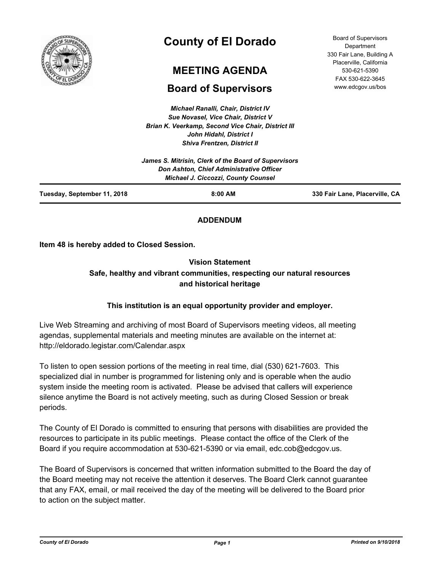

# **County of El Dorado**

## **MEETING AGENDA**

## **Board of Supervisors**

*Michael Ranalli, Chair, District IV Sue Novasel, Vice Chair, District V Brian K. Veerkamp, Second Vice Chair, District III John Hidahl, District I*

|                             | John Hidahl, District I                              |                                |
|-----------------------------|------------------------------------------------------|--------------------------------|
|                             | <b>Shiva Frentzen, District II</b>                   |                                |
|                             | James S. Mitrisin, Clerk of the Board of Supervisors |                                |
|                             | <b>Don Ashton, Chief Administrative Officer</b>      |                                |
|                             | <b>Michael J. Ciccozzi, County Counsel</b>           |                                |
| Tuesday, September 11, 2018 | $8:00$ AM                                            | 330 Fair Lane, Placerville, CA |

## **ADDENDUM**

**Item 48 is hereby added to Closed Session.**

## **Vision Statement Safe, healthy and vibrant communities, respecting our natural resources and historical heritage**

## **This institution is an equal opportunity provider and employer.**

Live Web Streaming and archiving of most Board of Supervisors meeting videos, all meeting agendas, supplemental materials and meeting minutes are available on the internet at: http://eldorado.legistar.com/Calendar.aspx

To listen to open session portions of the meeting in real time, dial (530) 621-7603. This specialized dial in number is programmed for listening only and is operable when the audio system inside the meeting room is activated. Please be advised that callers will experience silence anytime the Board is not actively meeting, such as during Closed Session or break periods.

The County of El Dorado is committed to ensuring that persons with disabilities are provided the resources to participate in its public meetings. Please contact the office of the Clerk of the Board if you require accommodation at 530-621-5390 or via email, edc.cob@edcgov.us.

The Board of Supervisors is concerned that written information submitted to the Board the day of the Board meeting may not receive the attention it deserves. The Board Clerk cannot guarantee that any FAX, email, or mail received the day of the meeting will be delivered to the Board prior to action on the subject matter.

*County of El Dorado Page 1 Printed on 9/10/2018*

Board of Supervisors **Department** 330 Fair Lane, Building A Placerville, California 530-621-5390 FAX 530-622-3645 www.edcgov.us/bos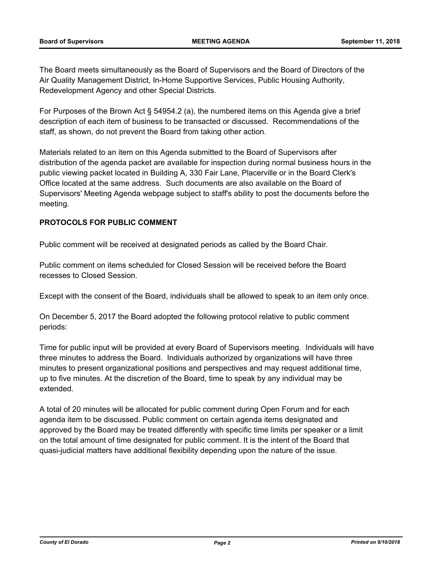The Board meets simultaneously as the Board of Supervisors and the Board of Directors of the Air Quality Management District, In-Home Supportive Services, Public Housing Authority, Redevelopment Agency and other Special Districts.

For Purposes of the Brown Act § 54954.2 (a), the numbered items on this Agenda give a brief description of each item of business to be transacted or discussed. Recommendations of the staff, as shown, do not prevent the Board from taking other action.

Materials related to an item on this Agenda submitted to the Board of Supervisors after distribution of the agenda packet are available for inspection during normal business hours in the public viewing packet located in Building A, 330 Fair Lane, Placerville or in the Board Clerk's Office located at the same address. Such documents are also available on the Board of Supervisors' Meeting Agenda webpage subject to staff's ability to post the documents before the meeting.

## **PROTOCOLS FOR PUBLIC COMMENT**

Public comment will be received at designated periods as called by the Board Chair.

Public comment on items scheduled for Closed Session will be received before the Board recesses to Closed Session.

Except with the consent of the Board, individuals shall be allowed to speak to an item only once.

On December 5, 2017 the Board adopted the following protocol relative to public comment periods:

Time for public input will be provided at every Board of Supervisors meeting. Individuals will have three minutes to address the Board. Individuals authorized by organizations will have three minutes to present organizational positions and perspectives and may request additional time, up to five minutes. At the discretion of the Board, time to speak by any individual may be extended.

A total of 20 minutes will be allocated for public comment during Open Forum and for each agenda item to be discussed. Public comment on certain agenda items designated and approved by the Board may be treated differently with specific time limits per speaker or a limit on the total amount of time designated for public comment. It is the intent of the Board that quasi-judicial matters have additional flexibility depending upon the nature of the issue.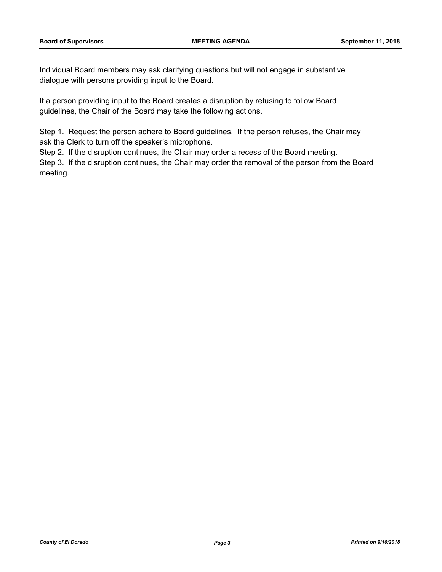Individual Board members may ask clarifying questions but will not engage in substantive dialogue with persons providing input to the Board.

If a person providing input to the Board creates a disruption by refusing to follow Board guidelines, the Chair of the Board may take the following actions.

Step 1. Request the person adhere to Board guidelines. If the person refuses, the Chair may ask the Clerk to turn off the speaker's microphone.

Step 2. If the disruption continues, the Chair may order a recess of the Board meeting.

Step 3. If the disruption continues, the Chair may order the removal of the person from the Board meeting.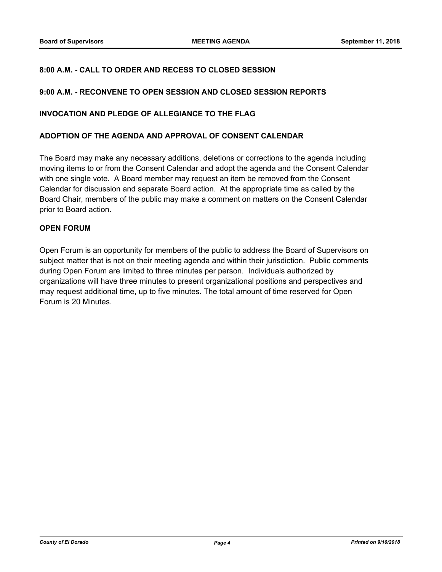## **8:00 A.M. - CALL TO ORDER AND RECESS TO CLOSED SESSION**

## **9:00 A.M. - RECONVENE TO OPEN SESSION AND CLOSED SESSION REPORTS**

## **INVOCATION AND PLEDGE OF ALLEGIANCE TO THE FLAG**

#### **ADOPTION OF THE AGENDA AND APPROVAL OF CONSENT CALENDAR**

The Board may make any necessary additions, deletions or corrections to the agenda including moving items to or from the Consent Calendar and adopt the agenda and the Consent Calendar with one single vote. A Board member may request an item be removed from the Consent Calendar for discussion and separate Board action. At the appropriate time as called by the Board Chair, members of the public may make a comment on matters on the Consent Calendar prior to Board action.

## **OPEN FORUM**

Open Forum is an opportunity for members of the public to address the Board of Supervisors on subject matter that is not on their meeting agenda and within their jurisdiction. Public comments during Open Forum are limited to three minutes per person. Individuals authorized by organizations will have three minutes to present organizational positions and perspectives and may request additional time, up to five minutes. The total amount of time reserved for Open Forum is 20 Minutes.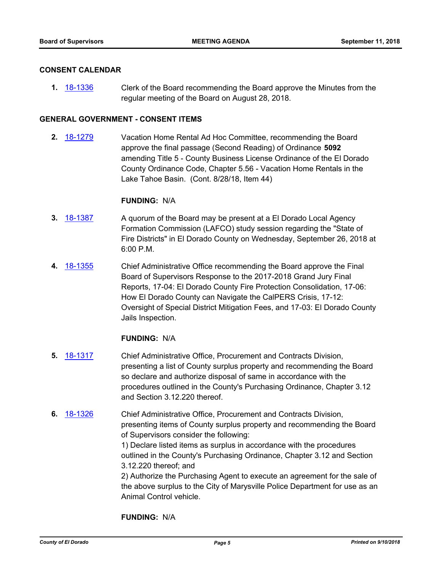## **CONSENT CALENDAR**

**1.** [18-1336](http://eldorado.legistar.com/gateway.aspx?m=l&id=/matter.aspx?key=24687) Clerk of the Board recommending the Board approve the Minutes from the regular meeting of the Board on August 28, 2018.

## **GENERAL GOVERNMENT - CONSENT ITEMS**

**2.** [18-1279](http://eldorado.legistar.com/gateway.aspx?m=l&id=/matter.aspx?key=24630) Vacation Home Rental Ad Hoc Committee, recommending the Board approve the final passage (Second Reading) of Ordinance **5092**  amending Title 5 - County Business License Ordinance of the El Dorado County Ordinance Code, Chapter 5.56 - Vacation Home Rentals in the Lake Tahoe Basin. (Cont. 8/28/18, Item 44)

#### **FUNDING:** N/A

- **3.** [18-1387](http://eldorado.legistar.com/gateway.aspx?m=l&id=/matter.aspx?key=24739) A quorum of the Board may be present at a El Dorado Local Agency Formation Commission (LAFCO) study session regarding the "State of Fire Districts" in El Dorado County on Wednesday, September 26, 2018 at 6:00 P.M.
- **4.** [18-1355](http://eldorado.legistar.com/gateway.aspx?m=l&id=/matter.aspx?key=24707) Chief Administrative Office recommending the Board approve the Final Board of Supervisors Response to the 2017-2018 Grand Jury Final Reports, 17-04: El Dorado County Fire Protection Consolidation, 17-06: How El Dorado County can Navigate the CalPERS Crisis, 17-12: Oversight of Special District Mitigation Fees, and 17-03: El Dorado County Jails Inspection.

## **FUNDING:** N/A

- **5.** [18-1317](http://eldorado.legistar.com/gateway.aspx?m=l&id=/matter.aspx?key=24668) Chief Administrative Office, Procurement and Contracts Division, presenting a list of County surplus property and recommending the Board so declare and authorize disposal of same in accordance with the procedures outlined in the County's Purchasing Ordinance, Chapter 3.12 and Section 3.12.220 thereof.
- **6.** [18-1326](http://eldorado.legistar.com/gateway.aspx?m=l&id=/matter.aspx?key=24677) Chief Administrative Office, Procurement and Contracts Division, presenting items of County surplus property and recommending the Board of Supervisors consider the following:

1) Declare listed items as surplus in accordance with the procedures outlined in the County's Purchasing Ordinance, Chapter 3.12 and Section 3.12.220 thereof; and

2) Authorize the Purchasing Agent to execute an agreement for the sale of the above surplus to the City of Marysville Police Department for use as an Animal Control vehicle.

**FUNDING:** N/A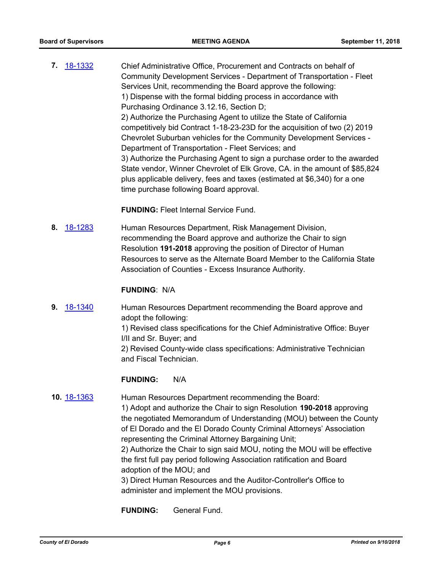**7.** [18-1332](http://eldorado.legistar.com/gateway.aspx?m=l&id=/matter.aspx?key=24683) Chief Administrative Office, Procurement and Contracts on behalf of Community Development Services - Department of Transportation - Fleet Services Unit, recommending the Board approve the following: 1) Dispense with the formal bidding process in accordance with Purchasing Ordinance 3.12.16, Section D; 2) Authorize the Purchasing Agent to utilize the State of California competitively bid Contract 1-18-23-23D for the acquisition of two (2) 2019 Chevrolet Suburban vehicles for the Community Development Services - Department of Transportation - Fleet Services; and 3) Authorize the Purchasing Agent to sign a purchase order to the awarded State vendor, Winner Chevrolet of Elk Grove, CA. in the amount of \$85,824 plus applicable delivery, fees and taxes (estimated at \$6,340) for a one time purchase following Board approval.

**FUNDING:** Fleet Internal Service Fund.

**8.** [18-1283](http://eldorado.legistar.com/gateway.aspx?m=l&id=/matter.aspx?key=24634) Human Resources Department, Risk Management Division, recommending the Board approve and authorize the Chair to sign Resolution **191-2018** approving the position of Director of Human Resources to serve as the Alternate Board Member to the California State Association of Counties - Excess Insurance Authority.

#### **FUNDING**: N/A

**9.** [18-1340](http://eldorado.legistar.com/gateway.aspx?m=l&id=/matter.aspx?key=24691) Human Resources Department recommending the Board approve and adopt the following: 1) Revised class specifications for the Chief Administrative Office: Buyer I/II and Sr. Buyer; and

> 2) Revised County-wide class specifications: Administrative Technician and Fiscal Technician.

#### **FUNDING:** N/A

#### **10.** [18-1363](http://eldorado.legistar.com/gateway.aspx?m=l&id=/matter.aspx?key=24715) Human Resources Department recommending the Board:

1) Adopt and authorize the Chair to sign Resolution **190-2018** approving the negotiated Memorandum of Understanding (MOU) between the County of El Dorado and the El Dorado County Criminal Attorneys' Association representing the Criminal Attorney Bargaining Unit; 2) Authorize the Chair to sign said MOU, noting the MOU will be effective the first full pay period following Association ratification and Board

adoption of the MOU; and

3) Direct Human Resources and the Auditor-Controller's Office to administer and implement the MOU provisions.

**FUNDING:** General Fund.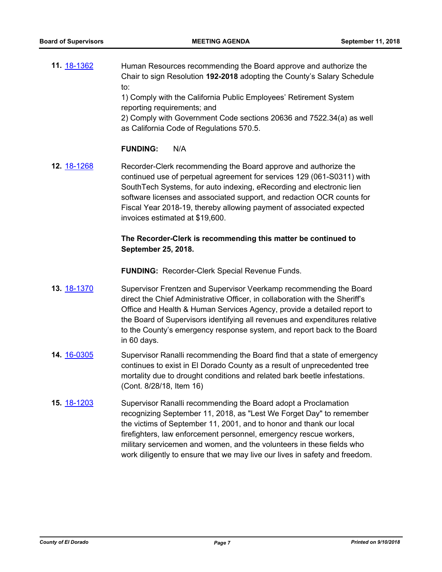**11.** [18-1362](http://eldorado.legistar.com/gateway.aspx?m=l&id=/matter.aspx?key=24714) Human Resources recommending the Board approve and authorize the Chair to sign Resolution **192-2018** adopting the County's Salary Schedule to:

1) Comply with the California Public Employees' Retirement System reporting requirements; and

2) Comply with Government Code sections 20636 and 7522.34(a) as well as California Code of Regulations 570.5.

## **FUNDING:** N/A

**12.** [18-1268](http://eldorado.legistar.com/gateway.aspx?m=l&id=/matter.aspx?key=24619) Recorder-Clerk recommending the Board approve and authorize the continued use of perpetual agreement for services 129 (061-S0311) with SouthTech Systems, for auto indexing, eRecording and electronic lien software licenses and associated support, and redaction OCR counts for Fiscal Year 2018-19, thereby allowing payment of associated expected invoices estimated at \$19,600.

## **The Recorder-Clerk is recommending this matter be continued to September 25, 2018.**

**FUNDING:** Recorder-Clerk Special Revenue Funds.

- **13.** [18-1370](http://eldorado.legistar.com/gateway.aspx?m=l&id=/matter.aspx?key=24722) Supervisor Frentzen and Supervisor Veerkamp recommending the Board direct the Chief Administrative Officer, in collaboration with the Sheriff's Office and Health & Human Services Agency, provide a detailed report to the Board of Supervisors identifying all revenues and expenditures relative to the County's emergency response system, and report back to the Board in 60 days.
- **14.** [16-0305](http://eldorado.legistar.com/gateway.aspx?m=l&id=/matter.aspx?key=20961) Supervisor Ranalli recommending the Board find that a state of emergency continues to exist in El Dorado County as a result of unprecedented tree mortality due to drought conditions and related bark beetle infestations. (Cont. 8/28/18, Item 16)
- **15.** [18-1203](http://eldorado.legistar.com/gateway.aspx?m=l&id=/matter.aspx?key=24554) Supervisor Ranalli recommending the Board adopt a Proclamation recognizing September 11, 2018, as "Lest We Forget Day" to remember the victims of September 11, 2001, and to honor and thank our local firefighters, law enforcement personnel, emergency rescue workers, military servicemen and women, and the volunteers in these fields who work diligently to ensure that we may live our lives in safety and freedom.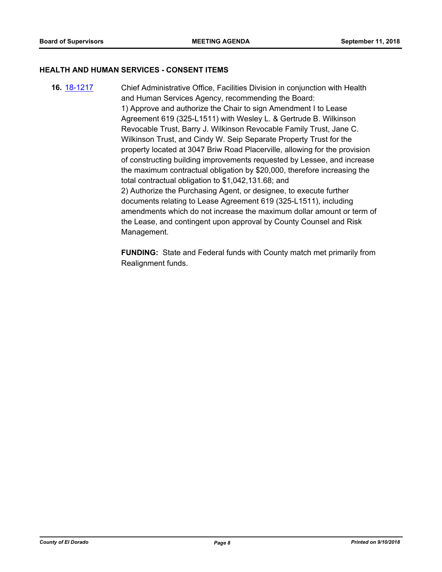## **HEALTH AND HUMAN SERVICES - CONSENT ITEMS**

**16.** [18-1217](http://eldorado.legistar.com/gateway.aspx?m=l&id=/matter.aspx?key=24568) Chief Administrative Office, Facilities Division in conjunction with Health and Human Services Agency, recommending the Board: 1) Approve and authorize the Chair to sign Amendment I to Lease Agreement 619 (325-L1511) with Wesley L. & Gertrude B. Wilkinson Revocable Trust, Barry J. Wilkinson Revocable Family Trust, Jane C. Wilkinson Trust, and Cindy W. Seip Separate Property Trust for the property located at 3047 Briw Road Placerville, allowing for the provision of constructing building improvements requested by Lessee, and increase the maximum contractual obligation by \$20,000, therefore increasing the total contractual obligation to \$1,042,131.68; and 2) Authorize the Purchasing Agent, or designee, to execute further documents relating to Lease Agreement 619 (325-L1511), including amendments which do not increase the maximum dollar amount or term of the Lease, and contingent upon approval by County Counsel and Risk Management.

> **FUNDING:** State and Federal funds with County match met primarily from Realignment funds.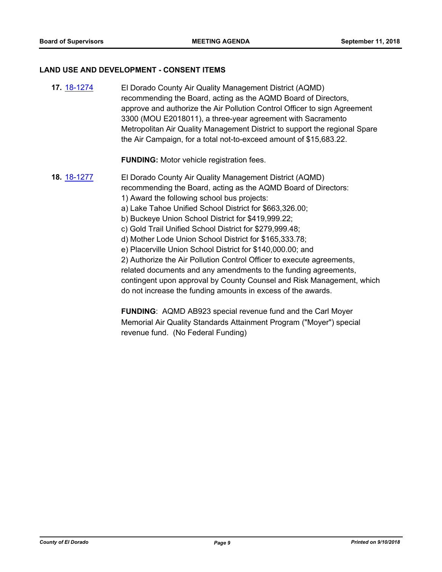#### **LAND USE AND DEVELOPMENT - CONSENT ITEMS**

**17.** [18-1274](http://eldorado.legistar.com/gateway.aspx?m=l&id=/matter.aspx?key=24625) El Dorado County Air Quality Management District (AQMD) recommending the Board, acting as the AQMD Board of Directors, approve and authorize the Air Pollution Control Officer to sign Agreement 3300 (MOU E2018011), a three-year agreement with Sacramento Metropolitan Air Quality Management District to support the regional Spare the Air Campaign, for a total not-to-exceed amount of \$15,683.22.

**FUNDING:** Motor vehicle registration fees.

**18.** [18-1277](http://eldorado.legistar.com/gateway.aspx?m=l&id=/matter.aspx?key=24628) El Dorado County Air Quality Management District (AQMD) recommending the Board, acting as the AQMD Board of Directors: 1) Award the following school bus projects: a) Lake Tahoe Unified School District for \$663,326.00; b) Buckeye Union School District for \$419,999.22; c) Gold Trail Unified School District for \$279,999.48; d) Mother Lode Union School District for \$165,333.78; e) Placerville Union School District for \$140,000.00; and

2) Authorize the Air Pollution Control Officer to execute agreements, related documents and any amendments to the funding agreements, contingent upon approval by County Counsel and Risk Management, which do not increase the funding amounts in excess of the awards.

**FUNDING**: AQMD AB923 special revenue fund and the Carl Moyer Memorial Air Quality Standards Attainment Program ("Moyer") special revenue fund. (No Federal Funding)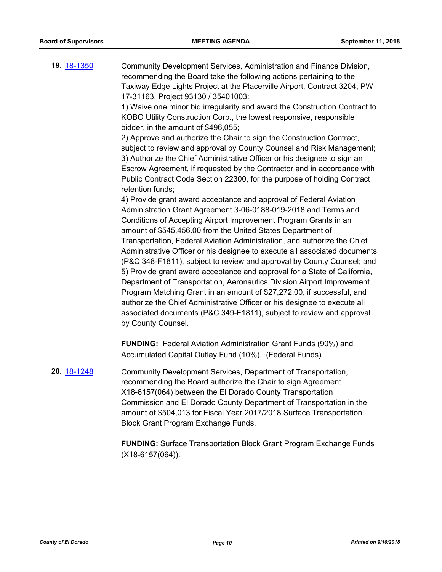**19.** [18-1350](http://eldorado.legistar.com/gateway.aspx?m=l&id=/matter.aspx?key=24701) Community Development Services, Administration and Finance Division, recommending the Board take the following actions pertaining to the Taxiway Edge Lights Project at the Placerville Airport, Contract 3204, PW 17-31163, Project 93130 / 35401003: 1) Waive one minor bid irregularity and award the Construction Contract to KOBO Utility Construction Corp., the lowest responsive, responsible bidder, in the amount of \$496,055; 2) Approve and authorize the Chair to sign the Construction Contract, subject to review and approval by County Counsel and Risk Management; 3) Authorize the Chief Administrative Officer or his designee to sign an Escrow Agreement, if requested by the Contractor and in accordance with Public Contract Code Section 22300, for the purpose of holding Contract retention funds; 4) Provide grant award acceptance and approval of Federal Aviation Administration Grant Agreement 3-06-0188-019-2018 and Terms and Conditions of Accepting Airport Improvement Program Grants in an amount of \$545,456.00 from the United States Department of Transportation, Federal Aviation Administration, and authorize the Chief Administrative Officer or his designee to execute all associated documents (P&C 348-F1811), subject to review and approval by County Counsel; and 5) Provide grant award acceptance and approval for a State of California, Department of Transportation, Aeronautics Division Airport Improvement Program Matching Grant in an amount of \$27,272.00, if successful, and authorize the Chief Administrative Officer or his designee to execute all associated documents (P&C 349-F1811), subject to review and approval by County Counsel. **FUNDING:** Federal Aviation Administration Grant Funds (90%) and Accumulated Capital Outlay Fund (10%). (Federal Funds) **20.** [18-1248](http://eldorado.legistar.com/gateway.aspx?m=l&id=/matter.aspx?key=24599) Community Development Services, Department of Transportation,

recommending the Board authorize the Chair to sign Agreement X18-6157(064) between the El Dorado County Transportation Commission and El Dorado County Department of Transportation in the amount of \$504,013 for Fiscal Year 2017/2018 Surface Transportation Block Grant Program Exchange Funds.

**FUNDING:** Surface Transportation Block Grant Program Exchange Funds (X18-6157(064)).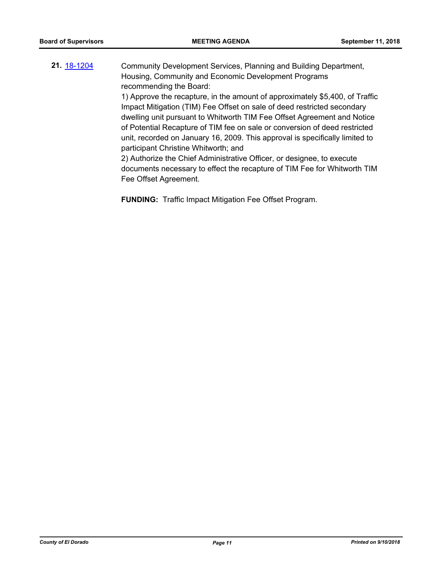**21.** [18-1204](http://eldorado.legistar.com/gateway.aspx?m=l&id=/matter.aspx?key=24555) Community Development Services, Planning and Building Department, Housing, Community and Economic Development Programs recommending the Board:

> 1) Approve the recapture, in the amount of approximately \$5,400, of Traffic Impact Mitigation (TIM) Fee Offset on sale of deed restricted secondary dwelling unit pursuant to Whitworth TIM Fee Offset Agreement and Notice of Potential Recapture of TIM fee on sale or conversion of deed restricted unit, recorded on January 16, 2009. This approval is specifically limited to participant Christine Whitworth; and

> 2) Authorize the Chief Administrative Officer, or designee, to execute documents necessary to effect the recapture of TIM Fee for Whitworth TIM Fee Offset Agreement.

**FUNDING:** Traffic Impact Mitigation Fee Offset Program.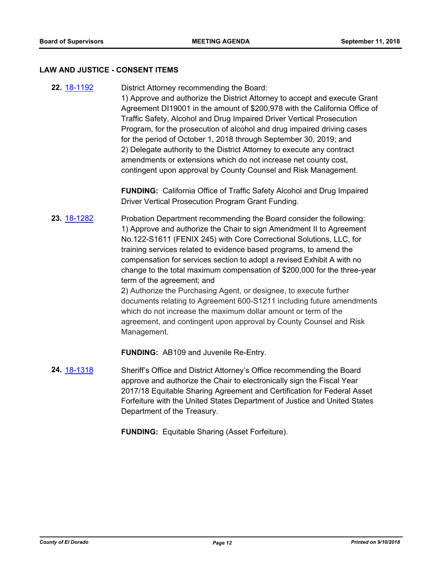#### **LAW AND JUSTICE - CONSENT ITEMS**

**22.** [18-1192](http://eldorado.legistar.com/gateway.aspx?m=l&id=/matter.aspx?key=24543) District Attorney recommending the Board: 1) Approve and authorize the District Attorney to accept and execute Grant Agreement DI19001 in the amount of \$200,978 with the California Office of Traffic Safety, Alcohol and Drug Impaired Driver Vertical Prosecution Program, for the prosecution of alcohol and drug impaired driving cases for the period of October 1, 2018 through September 30, 2019; and 2) Delegate authority to the District Attorney to execute any contract amendments or extensions which do not increase net county cost, contingent upon approval by County Counsel and Risk Management.

> **FUNDING:** California Office of Traffic Safety Alcohol and Drug Impaired Driver Vertical Prosecution Program Grant Funding.

**23.** [18-1282](http://eldorado.legistar.com/gateway.aspx?m=l&id=/matter.aspx?key=24633) Probation Department recommending the Board consider the following: 1) Approve and authorize the Chair to sign Amendment II to Agreement No.122-S1611 (FENIX 245) with Core Correctional Solutions, LLC, for training services related to evidence based programs, to amend the compensation for services section to adopt a revised Exhibit A with no change to the total maximum compensation of \$200,000 for the three-year term of the agreement; and 2) Authorize the Purchasing Agent, or designee, to execute further documents relating to Agreement 600-S1211 including future amendments

which do not increase the maximum dollar amount or term of the agreement, and contingent upon approval by County Counsel and Risk Management.

**FUNDING:** AB109 and Juvenile Re-Entry.

**24.** [18-1318](http://eldorado.legistar.com/gateway.aspx?m=l&id=/matter.aspx?key=24669) Sheriff's Office and District Attorney's Office recommending the Board approve and authorize the Chair to electronically sign the Fiscal Year 2017/18 Equitable Sharing Agreement and Certification for Federal Asset Forfeiture with the United States Department of Justice and United States Department of the Treasury.

**FUNDING:** Equitable Sharing (Asset Forfeiture).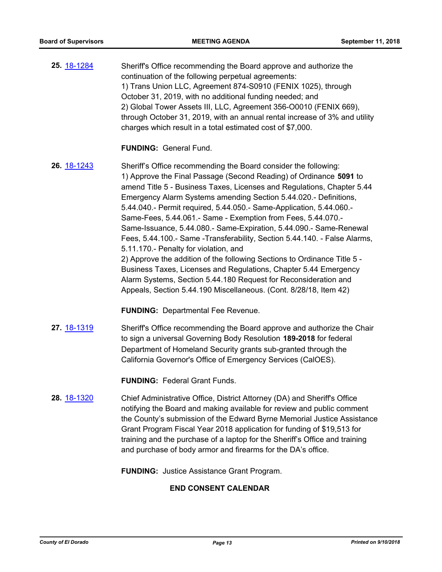**25.** [18-1284](http://eldorado.legistar.com/gateway.aspx?m=l&id=/matter.aspx?key=24635) Sheriff's Office recommending the Board approve and authorize the continuation of the following perpetual agreements: 1) Trans Union LLC, Agreement 874-S0910 (FENIX 1025), through October 31, 2019, with no additional funding needed; and 2) Global Tower Assets III, LLC, Agreement 356-O0010 (FENIX 669), through October 31, 2019, with an annual rental increase of 3% and utility charges which result in a total estimated cost of \$7,000.

#### **FUNDING:** General Fund.

**26.** [18-1243](http://eldorado.legistar.com/gateway.aspx?m=l&id=/matter.aspx?key=24594) Sheriff's Office recommending the Board consider the following: 1) Approve the Final Passage (Second Reading) of Ordinance **5091** to amend Title 5 - Business Taxes, Licenses and Regulations, Chapter 5.44 Emergency Alarm Systems amending Section 5.44.020.- Definitions, 5.44.040.- Permit required, 5.44.050.- Same-Application, 5.44.060.- Same-Fees, 5.44.061.- Same - Exemption from Fees, 5.44.070.- Same-Issuance, 5.44.080.- Same-Expiration, 5.44.090.- Same-Renewal Fees, 5.44.100.- Same -Transferability, Section 5.44.140. - False Alarms, 5.11.170.- Penalty for violation, and 2) Approve the addition of the following Sections to Ordinance Title 5 - Business Taxes, Licenses and Regulations, Chapter 5.44 Emergency Alarm Systems, Section 5.44.180 Request for Reconsideration and Appeals, Section 5.44.190 Miscellaneous. (Cont. 8/28/18, Item 42)

**FUNDING:** Departmental Fee Revenue.

**27.** [18-1319](http://eldorado.legistar.com/gateway.aspx?m=l&id=/matter.aspx?key=24670) Sheriff's Office recommending the Board approve and authorize the Chair to sign a universal Governing Body Resolution **189-2018** for federal Department of Homeland Security grants sub-granted through the California Governor's Office of Emergency Services (CalOES).

**FUNDING:** Federal Grant Funds.

**28.** [18-1320](http://eldorado.legistar.com/gateway.aspx?m=l&id=/matter.aspx?key=24671) Chief Administrative Office, District Attorney (DA) and Sheriff's Office notifying the Board and making available for review and public comment the County's submission of the Edward Byrne Memorial Justice Assistance Grant Program Fiscal Year 2018 application for funding of \$19,513 for training and the purchase of a laptop for the Sheriff's Office and training and purchase of body armor and firearms for the DA's office.

**FUNDING:** Justice Assistance Grant Program.

#### **END CONSENT CALENDAR**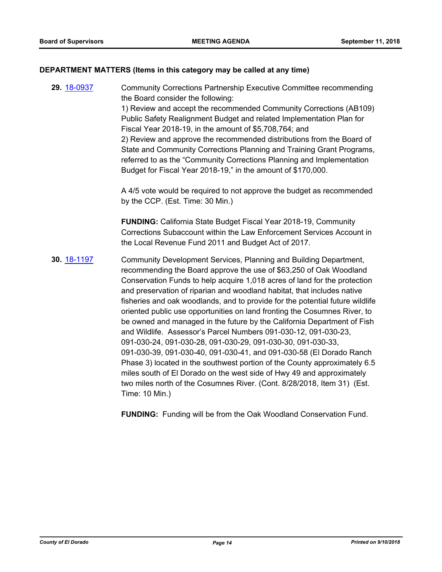## **DEPARTMENT MATTERS (Items in this category may be called at any time)**

**29.** [18-0937](http://eldorado.legistar.com/gateway.aspx?m=l&id=/matter.aspx?key=24285) Community Corrections Partnership Executive Committee recommending the Board consider the following: 1) Review and accept the recommended Community Corrections (AB109) Public Safety Realignment Budget and related Implementation Plan for Fiscal Year 2018-19, in the amount of \$5,708,764; and 2) Review and approve the recommended distributions from the Board of State and Community Corrections Planning and Training Grant Programs, referred to as the "Community Corrections Planning and Implementation Budget for Fiscal Year 2018-19," in the amount of \$170,000.

A 4/5 vote would be required to not approve the budget as recommended by the CCP. (Est. Time: 30 Min.)

**FUNDING:** California State Budget Fiscal Year 2018-19, Community Corrections Subaccount within the Law Enforcement Services Account in the Local Revenue Fund 2011 and Budget Act of 2017.

**30.** [18-1197](http://eldorado.legistar.com/gateway.aspx?m=l&id=/matter.aspx?key=24548) Community Development Services, Planning and Building Department, recommending the Board approve the use of \$63,250 of Oak Woodland Conservation Funds to help acquire 1,018 acres of land for the protection and preservation of riparian and woodland habitat, that includes native fisheries and oak woodlands, and to provide for the potential future wildlife oriented public use opportunities on land fronting the Cosumnes River, to be owned and managed in the future by the California Department of Fish and Wildlife. Assessor's Parcel Numbers 091-030-12, 091-030-23, 091-030-24, 091-030-28, 091-030-29, 091-030-30, 091-030-33, 091-030-39, 091-030-40, 091-030-41, and 091-030-58 (El Dorado Ranch Phase 3) located in the southwest portion of the County approximately 6.5 miles south of El Dorado on the west side of Hwy 49 and approximately two miles north of the Cosumnes River. (Cont. 8/28/2018, Item 31) (Est. Time: 10 Min.)

**FUNDING:** Funding will be from the Oak Woodland Conservation Fund.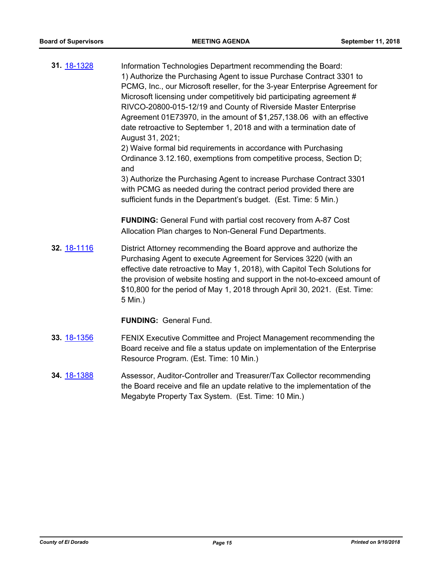| 31. 18-1328 | Information Technologies Department recommending the Board:<br>1) Authorize the Purchasing Agent to issue Purchase Contract 3301 to<br>PCMG, Inc., our Microsoft reseller, for the 3-year Enterprise Agreement for<br>Microsoft licensing under competitively bid participating agreement #<br>RIVCO-20800-015-12/19 and County of Riverside Master Enterprise<br>Agreement 01E73970, in the amount of \$1,257,138.06 with an effective<br>date retroactive to September 1, 2018 and with a termination date of<br>August 31, 2021;<br>2) Waive formal bid requirements in accordance with Purchasing<br>Ordinance 3.12.160, exemptions from competitive process, Section D;<br>and<br>3) Authorize the Purchasing Agent to increase Purchase Contract 3301<br>with PCMG as needed during the contract period provided there are<br>sufficient funds in the Department's budget. (Est. Time: 5 Min.)<br><b>FUNDING:</b> General Fund with partial cost recovery from A-87 Cost |
|-------------|--------------------------------------------------------------------------------------------------------------------------------------------------------------------------------------------------------------------------------------------------------------------------------------------------------------------------------------------------------------------------------------------------------------------------------------------------------------------------------------------------------------------------------------------------------------------------------------------------------------------------------------------------------------------------------------------------------------------------------------------------------------------------------------------------------------------------------------------------------------------------------------------------------------------------------------------------------------------------------|
|             | Allocation Plan charges to Non-General Fund Departments.                                                                                                                                                                                                                                                                                                                                                                                                                                                                                                                                                                                                                                                                                                                                                                                                                                                                                                                       |
| 32. 18-1116 | District Attorney recommending the Board approve and authorize the<br>Purchasing Agent to execute Agreement for Services 3220 (with an<br>effective date retroactive to May 1, 2018), with Capitol Tech Solutions for<br>the provision of website hosting and support in the not-to-exceed amount of<br>\$10,800 for the period of May 1, 2018 through April 30, 2021. (Est. Time:<br>5 Min.)                                                                                                                                                                                                                                                                                                                                                                                                                                                                                                                                                                                  |
|             | <b>FUNDING: General Fund.</b>                                                                                                                                                                                                                                                                                                                                                                                                                                                                                                                                                                                                                                                                                                                                                                                                                                                                                                                                                  |
| 33. 18-1356 | FENIX Executive Committee and Project Management recommending the<br>Board receive and file a status update on implementation of the Enterprise                                                                                                                                                                                                                                                                                                                                                                                                                                                                                                                                                                                                                                                                                                                                                                                                                                |

**34.** [18-1388](http://eldorado.legistar.com/gateway.aspx?m=l&id=/matter.aspx?key=24740) Assessor, Auditor-Controller and Treasurer/Tax Collector recommending the Board receive and file an update relative to the implementation of the Megabyte Property Tax System. (Est. Time: 10 Min.)

Resource Program. (Est. Time: 10 Min.)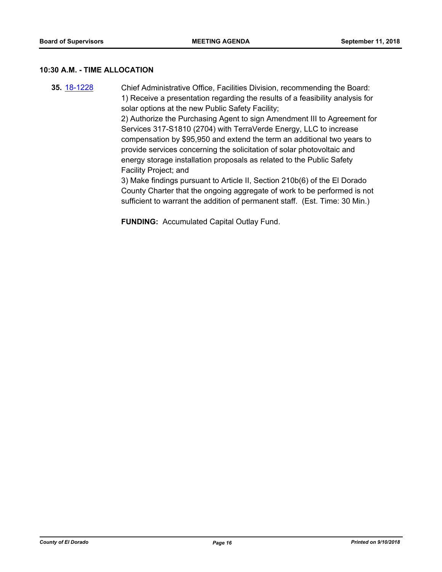#### **10:30 A.M. - TIME ALLOCATION**

**35.** [18-1228](http://eldorado.legistar.com/gateway.aspx?m=l&id=/matter.aspx?key=24579) Chief Administrative Office, Facilities Division, recommending the Board: 1) Receive a presentation regarding the results of a feasibility analysis for solar options at the new Public Safety Facility; 2) Authorize the Purchasing Agent to sign Amendment III to Agreement for

Services 317-S1810 (2704) with TerraVerde Energy, LLC to increase compensation by \$95,950 and extend the term an additional two years to provide services concerning the solicitation of solar photovoltaic and energy storage installation proposals as related to the Public Safety Facility Project; and

3) Make findings pursuant to Article II, Section 210b(6) of the El Dorado County Charter that the ongoing aggregate of work to be performed is not sufficient to warrant the addition of permanent staff. (Est. Time: 30 Min.)

**FUNDING:** Accumulated Capital Outlay Fund.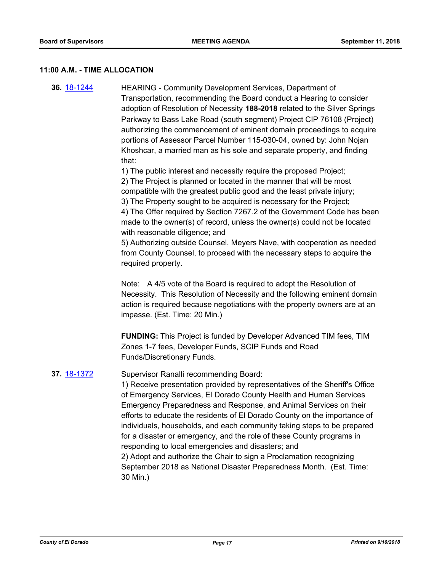## **11:00 A.M. - TIME ALLOCATION**

**36.** [18-1244](http://eldorado.legistar.com/gateway.aspx?m=l&id=/matter.aspx?key=24595) HEARING - Community Development Services, Department of Transportation, recommending the Board conduct a Hearing to consider adoption of Resolution of Necessity **188-2018** related to the Silver Springs Parkway to Bass Lake Road (south segment) Project CIP 76108 (Project) authorizing the commencement of eminent domain proceedings to acquire portions of Assessor Parcel Number 115-030-04, owned by: John Nojan Khoshcar, a married man as his sole and separate property, and finding that:

> 1) The public interest and necessity require the proposed Project; 2) The Project is planned or located in the manner that will be most compatible with the greatest public good and the least private injury; 3) The Property sought to be acquired is necessary for the Project; 4) The Offer required by Section 7267.2 of the Government Code has been made to the owner(s) of record, unless the owner(s) could not be located with reasonable diligence; and

> 5) Authorizing outside Counsel, Meyers Nave, with cooperation as needed from County Counsel, to proceed with the necessary steps to acquire the required property.

> Note: A 4/5 vote of the Board is required to adopt the Resolution of Necessity. This Resolution of Necessity and the following eminent domain action is required because negotiations with the property owners are at an impasse. (Est. Time: 20 Min.)

**FUNDING:** This Project is funded by Developer Advanced TIM fees, TIM Zones 1-7 fees, Developer Funds, SCIP Funds and Road Funds/Discretionary Funds.

## **37.** [18-1372](http://eldorado.legistar.com/gateway.aspx?m=l&id=/matter.aspx?key=24724) Supervisor Ranalli recommending Board:

1) Receive presentation provided by representatives of the Sheriff's Office of Emergency Services, El Dorado County Health and Human Services Emergency Preparedness and Response, and Animal Services on their efforts to educate the residents of El Dorado County on the importance of individuals, households, and each community taking steps to be prepared for a disaster or emergency, and the role of these County programs in responding to local emergencies and disasters; and 2) Adopt and authorize the Chair to sign a Proclamation recognizing September 2018 as National Disaster Preparedness Month. (Est. Time:

30 Min.)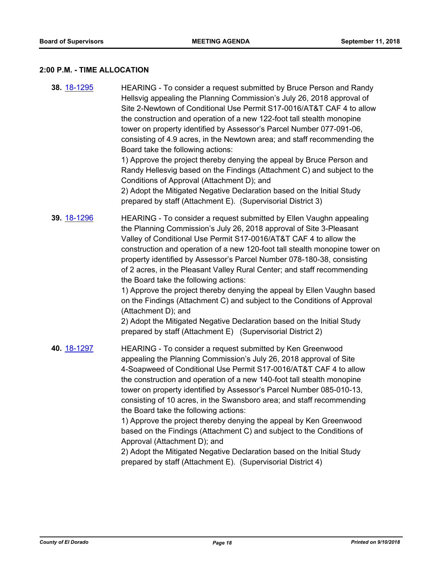## **2:00 P.M. - TIME ALLOCATION**

| 38. 18-1295 | HEARING - To consider a request submitted by Bruce Person and Randy<br>Hellsvig appealing the Planning Commission's July 26, 2018 approval of<br>Site 2-Newtown of Conditional Use Permit S17-0016/AT&T CAF 4 to allow<br>the construction and operation of a new 122-foot tall stealth monopine<br>tower on property identified by Assessor's Parcel Number 077-091-06,<br>consisting of 4.9 acres, in the Newtown area; and staff recommending the<br>Board take the following actions:<br>1) Approve the project thereby denying the appeal by Bruce Person and<br>Randy Hellesvig based on the Findings (Attachment C) and subject to the<br>Conditions of Approval (Attachment D); and<br>2) Adopt the Mitigated Negative Declaration based on the Initial Study<br>prepared by staff (Attachment E). (Supervisorial District 3) |
|-------------|---------------------------------------------------------------------------------------------------------------------------------------------------------------------------------------------------------------------------------------------------------------------------------------------------------------------------------------------------------------------------------------------------------------------------------------------------------------------------------------------------------------------------------------------------------------------------------------------------------------------------------------------------------------------------------------------------------------------------------------------------------------------------------------------------------------------------------------|
| 39. 18-1296 | HEARING - To consider a request submitted by Ellen Vaughn appealing<br>the Planning Commission's July 26, 2018 approval of Site 3-Pleasant<br>Valley of Conditional Use Permit S17-0016/AT&T CAF 4 to allow the<br>construction and operation of a new 120-foot tall stealth monopine tower on<br>property identified by Assessor's Parcel Number 078-180-38, consisting<br>of 2 acres, in the Pleasant Valley Rural Center; and staff recommending<br>the Board take the following actions:<br>1) Approve the project thereby denying the appeal by Ellen Vaughn based<br>on the Findings (Attachment C) and subject to the Conditions of Approval<br>(Attachment D); and<br>2) Adopt the Mitigated Negative Declaration based on the Initial Study<br>prepared by staff (Attachment E) (Supervisorial District 2)                   |
| 40. 18-1297 | HEARING - To consider a request submitted by Ken Greenwood<br>appealing the Planning Commission's July 26, 2018 approval of Site<br>4-Soapweed of Conditional Use Permit S17-0016/AT&T CAF 4 to allow<br>the construction and operation of a new 140-foot tall stealth monopine<br>tower on property identified by Assessor's Parcel Number 085-010-13,<br>consisting of 10 acres, in the Swansboro area; and staff recommending<br>the Board take the following actions:<br>1) Approve the project thereby denying the appeal by Ken Greenwood<br>based on the Findings (Attachment C) and subject to the Conditions of<br>Approval (Attachment D); and<br>2) Adopt the Mitigated Negative Declaration based on the Initial Study<br>prepared by staff (Attachment E). (Supervisorial District 4)                                    |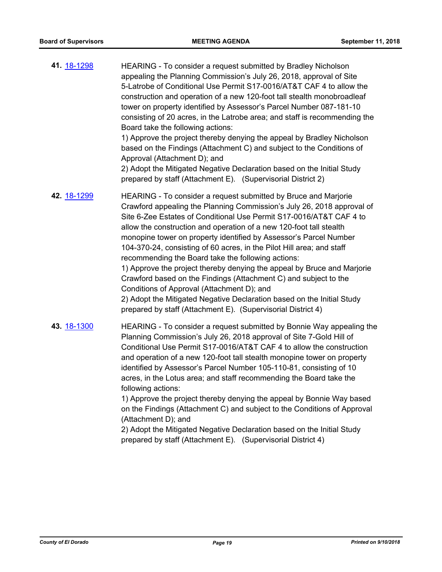**41.** [18-1298](http://eldorado.legistar.com/gateway.aspx?m=l&id=/matter.aspx?key=24649) HEARING - To consider a request submitted by Bradley Nicholson appealing the Planning Commission's July 26, 2018, approval of Site 5-Latrobe of Conditional Use Permit S17-0016/AT&T CAF 4 to allow the construction and operation of a new 120-foot tall stealth monobroadleaf tower on property identified by Assessor's Parcel Number 087-181-10 consisting of 20 acres, in the Latrobe area; and staff is recommending the Board take the following actions: 1) Approve the project thereby denying the appeal by Bradley Nicholson based on the Findings (Attachment C) and subject to the Conditions of Approval (Attachment D); and 2) Adopt the Mitigated Negative Declaration based on the Initial Study prepared by staff (Attachment E). (Supervisorial District 2) **42.** [18-1299](http://eldorado.legistar.com/gateway.aspx?m=l&id=/matter.aspx?key=24650) HEARING - To consider a request submitted by Bruce and Marjorie

Crawford appealing the Planning Commission's July 26, 2018 approval of Site 6-Zee Estates of Conditional Use Permit S17-0016/AT&T CAF 4 to allow the construction and operation of a new 120-foot tall stealth monopine tower on property identified by Assessor's Parcel Number 104-370-24, consisting of 60 acres, in the Pilot Hill area; and staff recommending the Board take the following actions: 1) Approve the project thereby denying the appeal by Bruce and Marjorie Crawford based on the Findings (Attachment C) and subject to the Conditions of Approval (Attachment D); and 2) Adopt the Mitigated Negative Declaration based on the Initial Study prepared by staff (Attachment E). (Supervisorial District 4)

**43.** [18-1300](http://eldorado.legistar.com/gateway.aspx?m=l&id=/matter.aspx?key=24651) HEARING - To consider a request submitted by Bonnie Way appealing the Planning Commission's July 26, 2018 approval of Site 7-Gold Hill of Conditional Use Permit S17-0016/AT&T CAF 4 to allow the construction and operation of a new 120-foot tall stealth monopine tower on property identified by Assessor's Parcel Number 105-110-81, consisting of 10 acres, in the Lotus area; and staff recommending the Board take the following actions:

1) Approve the project thereby denying the appeal by Bonnie Way based on the Findings (Attachment C) and subject to the Conditions of Approval (Attachment D); and

2) Adopt the Mitigated Negative Declaration based on the Initial Study prepared by staff (Attachment E). (Supervisorial District 4)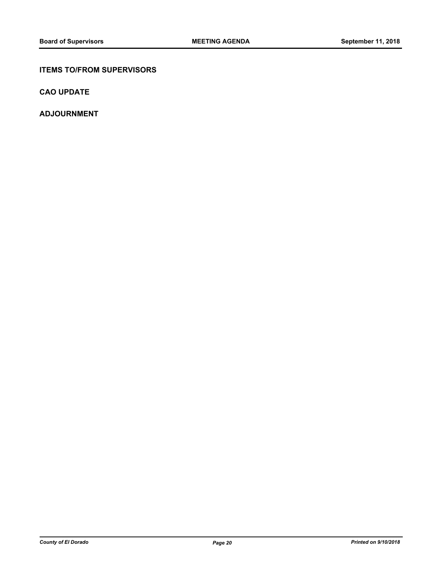## **ITEMS TO/FROM SUPERVISORS**

**CAO UPDATE**

**ADJOURNMENT**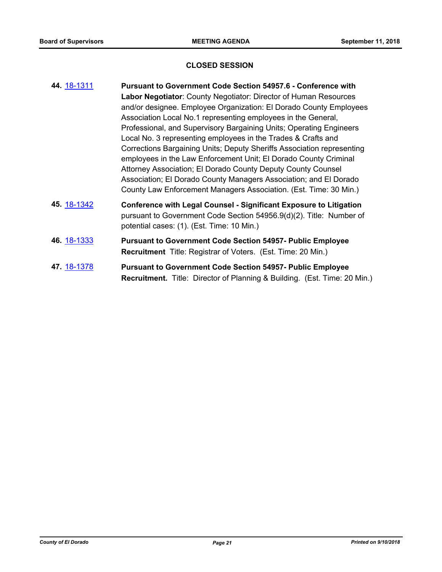## **CLOSED SESSION**

| 44. 18-1311 | <b>Pursuant to Government Code Section 54957.6 - Conference with</b><br>Labor Negotiator: County Negotiator: Director of Human Resources<br>and/or designee. Employee Organization: El Dorado County Employees<br>Association Local No.1 representing employees in the General,<br>Professional, and Supervisory Bargaining Units; Operating Engineers<br>Local No. 3 representing employees in the Trades & Crafts and<br>Corrections Bargaining Units; Deputy Sheriffs Association representing<br>employees in the Law Enforcement Unit; El Dorado County Criminal<br>Attorney Association; El Dorado County Deputy County Counsel<br>Association; El Dorado County Managers Association; and El Dorado<br>County Law Enforcement Managers Association. (Est. Time: 30 Min.) |
|-------------|---------------------------------------------------------------------------------------------------------------------------------------------------------------------------------------------------------------------------------------------------------------------------------------------------------------------------------------------------------------------------------------------------------------------------------------------------------------------------------------------------------------------------------------------------------------------------------------------------------------------------------------------------------------------------------------------------------------------------------------------------------------------------------|
| 45 18-1342  | <b>Conference with Legal Counsel - Significant Exposure to Litigation</b><br>pursuant to Government Code Section 54956.9(d)(2). Title: Number of<br>potential cases: (1). (Est. Time: 10 Min.)                                                                                                                                                                                                                                                                                                                                                                                                                                                                                                                                                                                  |
| 46. 18-1333 | <b>Pursuant to Government Code Section 54957- Public Employee</b><br><b>Recruitment</b> Title: Registrar of Voters. (Est. Time: 20 Min.)                                                                                                                                                                                                                                                                                                                                                                                                                                                                                                                                                                                                                                        |

**47.** [18-1378](http://eldorado.legistar.com/gateway.aspx?m=l&id=/matter.aspx?key=24730) **Pursuant to Government Code Section 54957- Public Employee Recruitment.** Title: Director of Planning & Building. (Est. Time: 20 Min.)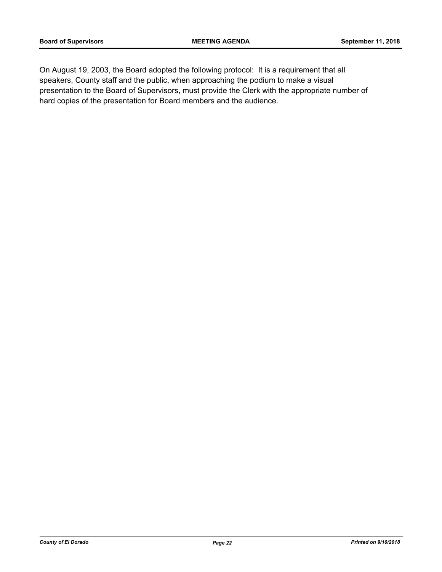On August 19, 2003, the Board adopted the following protocol: It is a requirement that all speakers, County staff and the public, when approaching the podium to make a visual presentation to the Board of Supervisors, must provide the Clerk with the appropriate number of hard copies of the presentation for Board members and the audience.